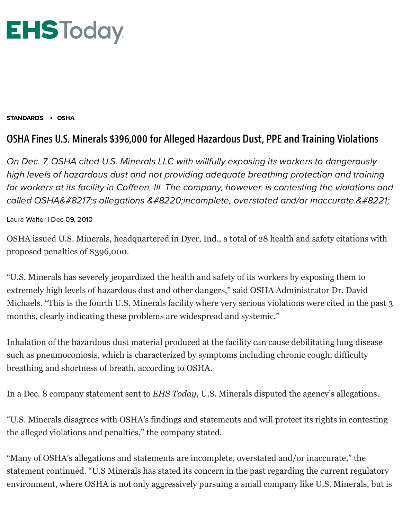

## [STANDARDS](https://www.ehstoday.com/standards) > [OSHA](https://www.ehstoday.com/standards/osha)

## OSHA Fines U.S. Minerals \$396,000 for Alleged Hazardous Dust, PPE and Training Violations

On Dec. 7, OSHA cited U.S. Minerals LLC with willfully exposing its workers to dangerously high levels of hazardous dust and not providing adequate breathing protection and training for workers at its facility in Coffeen, III. The company, however, is contesting the violations and called OSHA's allegations "incomplete, overstated and/or inaccurate."

Laura [Walter](https://www.ehstoday.com/author/Laura-Walter) | Dec 09, 2010

OSHA issued U.S. Minerals, headquartered in Dyer, Ind., a total of 28 health and safety citations with proposed penalties of \$396,000.

"U.S. Minerals has severely jeopardized the health and safety of its workers by exposing them to extremely high levels of hazardous dust and other dangers," said OSHA Administrator Dr. David Michaels. "This is the fourth U.S. Minerals facility where very serious violations were cited in the past 3 months, clearly indicating these problems are widespread and systemic."

Inhalation of the hazardous dust material produced at the facility can cause debilitating lung disease such as pneumoconiosis, which is characterized by symptoms including chronic cough, difficulty breathing and shortness of breath, according to OSHA.

In a Dec. 8 company statement sent to *EHS Today*, U.S. Minerals disputed the agency's allegations.

"U.S. Minerals disagrees with OSHA's findings and statements and will protect its rights in contesting the alleged violations and penalties," the company stated.

"Many of OSHA's allegations and statements are incomplete, overstated and/or inaccurate," the statement continued. "U.S Minerals has stated its concern in the past regarding the current regulatory environment, where OSHA is not only aggressively pursuing a small company like U.S. Minerals, but is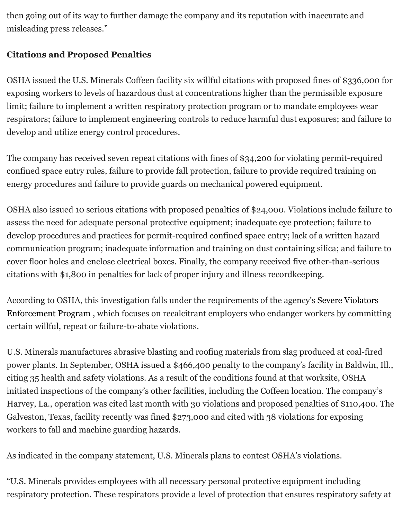then going out of its way to further damage the company and its reputation with inaccurate and misleading press releases."

## **Citations and Proposed Penalties**

OSHA issued the U.S. Minerals Coffeen facility six willful citations with proposed fines of \$336,000 for exposing workers to levels of hazardous dust at concentrations higher than the permissible exposure limit; failure to implement a written respiratory protection program or to mandate employees wear respirators; failure to implement engineering controls to reduce harmful dust exposures; and failure to develop and utilize energy control procedures.

The company has received seven repeat citations with fines of \$34,200 for violating permit-required confined space entry rules, failure to provide fall protection, failure to provide required training on energy procedures and failure to provide guards on mechanical powered equipment.

OSHA also issued 10 serious citations with proposed penalties of \$24,000. Violations include failure to assess the need for adequate personal protective equipment; inadequate eye protection; failure to develop procedures and practices for permit-required confined space entry; lack of a written hazard communication program; inadequate information and training on dust containing silica; and failure to cover floor holes and enclose electrical boxes. Finally, the company received five other-than-serious citations with \$1,800 in penalties for lack of proper injury and illness recordkeeping.

[According to OSHA, this investigation falls under the requirements of the agency's Severe Violators](http://www.osha.gov/dep/svep-directive.pdf) Enforcement Program , which focuses on recalcitrant employers who endanger workers by committing certain willful, repeat or failure-to-abate violations.

U.S. Minerals manufactures abrasive blasting and roofing materials from slag produced at coal-fired power plants. In September, OSHA issued a \$466,400 penalty to the company's facility in Baldwin, Ill., citing 35 health and safety violations. As a result of the conditions found at that worksite, OSHA initiated inspections of the company's other facilities, including the Coffeen location. The company's Harvey, La., operation was cited last month with 30 violations and proposed penalties of \$110,400. The Galveston, Texas, facility recently was fined \$273,000 and cited with 38 violations for exposing workers to fall and machine guarding hazards.

As indicated in the company statement, U.S. Minerals plans to contest OSHA's violations.

"U.S. Minerals provides employees with all necessary personal protective equipment including respiratory protection. These respirators provide a level of protection that ensures respiratory safety at